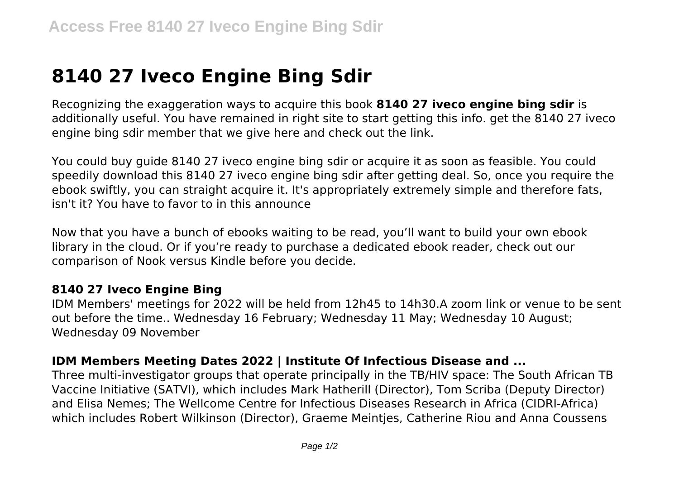## **8140 27 Iveco Engine Bing Sdir**

Recognizing the exaggeration ways to acquire this book **8140 27 iveco engine bing sdir** is additionally useful. You have remained in right site to start getting this info. get the 8140 27 iveco engine bing sdir member that we give here and check out the link.

You could buy guide 8140 27 iveco engine bing sdir or acquire it as soon as feasible. You could speedily download this 8140 27 iveco engine bing sdir after getting deal. So, once you require the ebook swiftly, you can straight acquire it. It's appropriately extremely simple and therefore fats, isn't it? You have to favor to in this announce

Now that you have a bunch of ebooks waiting to be read, you'll want to build your own ebook library in the cloud. Or if you're ready to purchase a dedicated ebook reader, check out our comparison of Nook versus Kindle before you decide.

## **8140 27 Iveco Engine Bing**

IDM Members' meetings for 2022 will be held from 12h45 to 14h30.A zoom link or venue to be sent out before the time.. Wednesday 16 February; Wednesday 11 May; Wednesday 10 August; Wednesday 09 November

## **IDM Members Meeting Dates 2022 | Institute Of Infectious Disease and ...**

Three multi-investigator groups that operate principally in the TB/HIV space: The South African TB Vaccine Initiative (SATVI), which includes Mark Hatherill (Director), Tom Scriba (Deputy Director) and Elisa Nemes; The Wellcome Centre for Infectious Diseases Research in Africa (CIDRI-Africa) which includes Robert Wilkinson (Director), Graeme Meintjes, Catherine Riou and Anna Coussens